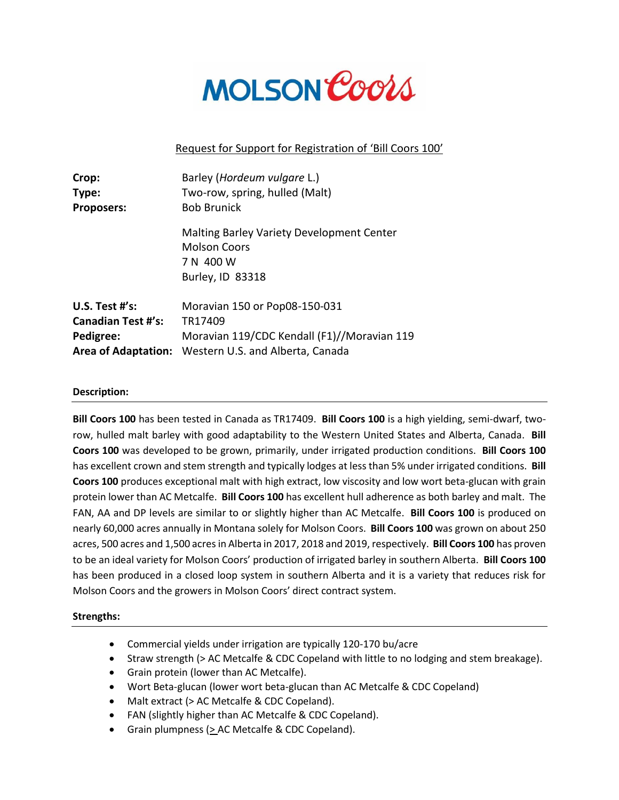

# Request for Support for Registration of 'Bill Coors 100'

| Crop:                      | Barley (Hordeum vulgare L.)                                                                       |
|----------------------------|---------------------------------------------------------------------------------------------------|
| Type:                      | Two-row, spring, hulled (Malt)                                                                    |
| <b>Proposers:</b>          | <b>Bob Brunick</b>                                                                                |
|                            | Malting Barley Variety Development Center<br><b>Molson Coors</b><br>7 N 400 W<br>Burley, ID 83318 |
| U.S. Test $#$ 's:          | Moravian 150 or Pop08-150-031                                                                     |
| <b>Canadian Test #'s:</b>  | TR17409                                                                                           |
| Pedigree:                  | Moravian 119/CDC Kendall (F1)//Moravian 119                                                       |
| <b>Area of Adaptation:</b> | Western U.S. and Alberta, Canada                                                                  |

# **Description:**

**Bill Coors 100** has been tested in Canada as TR17409. **Bill Coors 100** is a high yielding, semi-dwarf, tworow, hulled malt barley with good adaptability to the Western United States and Alberta, Canada. **Bill Coors 100** was developed to be grown, primarily, under irrigated production conditions. **Bill Coors 100**  has excellent crown and stem strength and typically lodges at less than 5% under irrigated conditions. **Bill Coors 100** produces exceptional malt with high extract, low viscosity and low wort beta-glucan with grain protein lower than AC Metcalfe. **Bill Coors 100** has excellent hull adherence as both barley and malt. The FAN, AA and DP levels are similar to or slightly higher than AC Metcalfe. **Bill Coors 100** is produced on nearly 60,000 acres annually in Montana solely for Molson Coors. **Bill Coors 100** was grown on about 250 acres, 500 acres and 1,500 acres in Alberta in 2017, 2018 and 2019, respectively. **Bill Coors 100** has proven to be an ideal variety for Molson Coors' production of irrigated barley in southern Alberta. **Bill Coors 100** has been produced in a closed loop system in southern Alberta and it is a variety that reduces risk for Molson Coors and the growers in Molson Coors' direct contract system.

### **Strengths:**

- Commercial yields under irrigation are typically 120-170 bu/acre
- Straw strength (> AC Metcalfe & CDC Copeland with little to no lodging and stem breakage).
- Grain protein (lower than AC Metcalfe).
- Wort Beta-glucan (lower wort beta-glucan than AC Metcalfe & CDC Copeland)
- Malt extract (> AC Metcalfe & CDC Copeland).
- FAN (slightly higher than AC Metcalfe & CDC Copeland).
- Grain plumpness (> AC Metcalfe & CDC Copeland).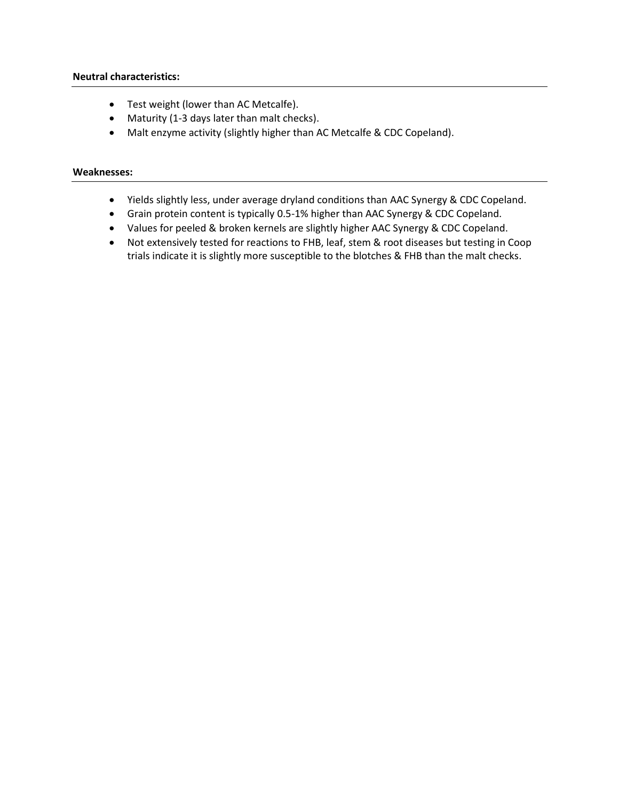- Test weight (lower than AC Metcalfe).
- Maturity (1-3 days later than malt checks).
- Malt enzyme activity (slightly higher than AC Metcalfe & CDC Copeland).

# **Weaknesses:**

- Yields slightly less, under average dryland conditions than AAC Synergy & CDC Copeland.
- Grain protein content is typically 0.5-1% higher than AAC Synergy & CDC Copeland.
- Values for peeled & broken kernels are slightly higher AAC Synergy & CDC Copeland.
- Not extensively tested for reactions to FHB, leaf, stem & root diseases but testing in Coop trials indicate it is slightly more susceptible to the blotches & FHB than the malt checks.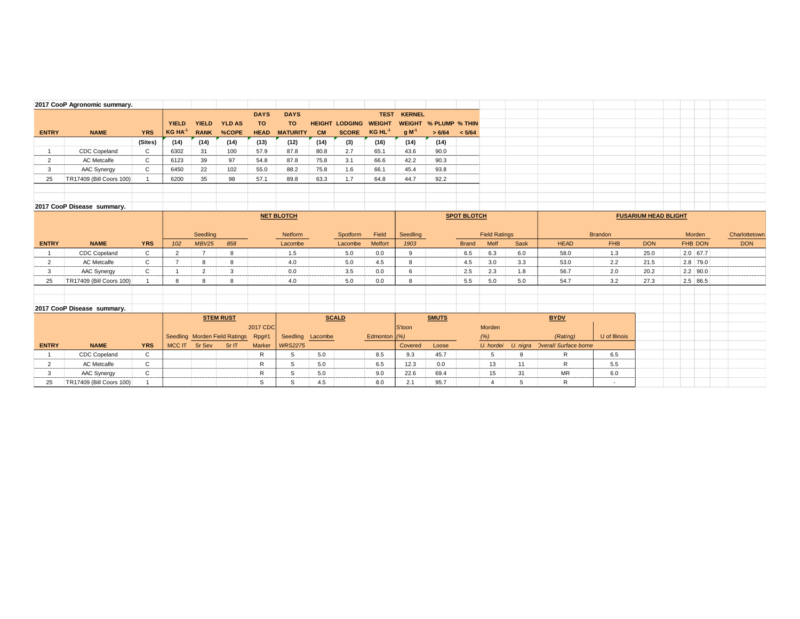|                                | 2017 CooP Agronomic summary.            |                 |                |                                |                               |             |                   |            |                       |                |               |                              |                    |                               |         |                                |                                 |                             |                       |  |               |
|--------------------------------|-----------------------------------------|-----------------|----------------|--------------------------------|-------------------------------|-------------|-------------------|------------|-----------------------|----------------|---------------|------------------------------|--------------------|-------------------------------|---------|--------------------------------|---------------------------------|-----------------------------|-----------------------|--|---------------|
|                                |                                         |                 |                |                                |                               | <b>DAYS</b> | <b>DAYS</b>       |            |                       | <b>TEST</b>    | <b>KERNEL</b> |                              |                    |                               |         |                                |                                 |                             |                       |  |               |
|                                |                                         |                 | <b>YIELD</b>   | <b>YIELD</b>                   | <b>YLD AS</b>                 | <b>TO</b>   | <b>TO</b>         |            | <b>HEIGHT LODGING</b> | <b>WEIGHT</b>  |               | <b>WEIGHT % PLUMP % THIN</b> |                    |                               |         |                                |                                 |                             |                       |  |               |
| <b>ENTRY</b>                   | <b>NAME</b>                             | <b>YRS</b>      | $KG HA^{-1}$   | <b>RANK</b>                    | %COPE                         | <b>HEAD</b> | <b>MATURITY</b>   | <b>CM</b>  | <b>SCORE</b>          | $KG HL-1$      | $g M^{-1}$    | > 6/64                       | < 5/64             |                               |         |                                |                                 |                             |                       |  |               |
|                                |                                         | (Sites)         | (14)           | (14)                           | (14)                          | (13)        | (12)              | (14)       | (3)                   | (16)           | (14)          | (14)                         |                    |                               |         |                                |                                 |                             |                       |  |               |
|                                | <b>CDC Copeland</b>                     | C               | 6302           | 31                             | 100                           | 57.9        | 87.8              | 80.8       | 2.7                   | 65.1           | 43.6          | 90.0                         |                    |                               |         |                                |                                 |                             |                       |  |               |
| 2                              | AC Metcalfe                             | $\mathsf{C}$    | 6123           | 39                             | 97                            | 54.8        | 87.8              | 75.8       | 3.1                   | 66.6           | 42.2          | 90.3                         |                    |                               |         |                                |                                 |                             |                       |  |               |
| 3                              | AAC Synergy                             | C               | 6450           | 22                             | 102                           | 55.0        | 88.2              | 75.8       | 1.6                   | 66.1           | 45.4          | 93.8                         |                    |                               |         |                                |                                 |                             |                       |  |               |
| 25                             | TR17409 (Bill Coors 100)                |                 | 6200           | 35                             | 98                            | 57.1        | 89.8              | 63.3       | 1.7                   | 64.8           | 44.7          | 92.2                         |                    |                               |         |                                |                                 |                             |                       |  |               |
|                                |                                         |                 |                |                                |                               |             |                   |            |                       |                |               |                              |                    |                               |         |                                |                                 |                             |                       |  |               |
|                                |                                         |                 |                |                                |                               |             |                   |            |                       |                |               |                              |                    |                               |         |                                |                                 |                             |                       |  |               |
|                                | 2017 CooP Disease summary.              |                 |                |                                |                               |             |                   |            |                       |                |               |                              |                    |                               |         |                                |                                 |                             |                       |  |               |
|                                |                                         |                 |                |                                |                               |             | <b>NET BLOTCH</b> |            |                       |                |               |                              | <b>SPOT BLOTCH</b> |                               |         |                                |                                 | <b>FUSARIUM HEAD BLIGHT</b> |                       |  |               |
|                                |                                         |                 |                |                                |                               |             |                   |            |                       |                |               |                              |                    |                               |         |                                |                                 |                             |                       |  |               |
|                                |                                         |                 |                | Seedling                       |                               |             | Netform           |            | Spotform              | Field          | Seedling      |                              |                    | <b>Field Ratings</b>          |         |                                | <b>Brandon</b>                  |                             | Morden                |  | Charlottetown |
|                                |                                         |                 |                |                                |                               |             |                   |            |                       |                |               |                              |                    |                               |         |                                |                                 |                             |                       |  |               |
|                                |                                         |                 |                |                                |                               |             |                   |            |                       |                |               |                              |                    |                               |         |                                |                                 |                             |                       |  |               |
| <b>ENTRY</b><br>$\overline{1}$ | <b>NAME</b>                             | <b>YRS</b><br>C | 102<br>2       | <b>MBV25</b><br>$\overline{7}$ | 858<br>8                      |             | Lacombe           |            | Lacombe               | Melfort        | 1903<br>9     |                              | <b>Brand</b>       | Melf                          | Sask    | <b>HEAD</b>                    | <b>FHB</b>                      | <b>DON</b>                  | FHB DON<br>$2.0$ 67.7 |  | <b>DON</b>    |
|                                | <b>CDC Copeland</b>                     |                 | $\overline{7}$ |                                |                               |             | 1.5               |            | 5.0                   | 0.0            |               |                              | 6.5                | 6.3                           | 6.0     | 58.0                           | 1.3                             | 25.0                        |                       |  |               |
| $\overline{2}$                 | <b>AC</b> Metcalfe                      | C               |                | 8                              | 8                             |             | 4.0               |            | 5.0                   | 4.5            | 8             |                              | 4.5                | 3.0                           | 3.3     | 53.0                           | 2.2                             | 21.5                        | 2.8 79.0              |  |               |
| 3                              | AAC Synergy                             | $\mathsf{C}$    | 8              | 2                              | 3                             |             | 0.0               |            | 3.5                   | 0.0            | 6             |                              | 2.5                | 2.3                           | 1.8     | 56.7                           | 2.0                             | 20.2                        | $2.2$ 90.0            |  |               |
| 25                             | TR17409 (Bill Coors 100)                |                 |                | 8                              | 8                             |             | 4.0               |            | 5.0                   | 0.0            | 8             |                              | 5.5                | 5.0                           | 5.0     | 54.7                           | 3.2                             | 27.3                        | 2.5 86.5              |  |               |
|                                |                                         |                 |                |                                |                               |             |                   |            |                       |                |               |                              |                    |                               |         |                                |                                 |                             |                       |  |               |
|                                |                                         |                 |                |                                |                               |             |                   |            |                       |                |               |                              |                    |                               |         |                                |                                 |                             |                       |  |               |
|                                | 2017 CooP Disease summary.              |                 |                |                                |                               |             |                   |            |                       |                |               |                              |                    |                               |         |                                |                                 |                             |                       |  |               |
|                                |                                         |                 |                |                                | <b>STEM RUST</b>              |             |                   |            | <b>SCALD</b>          |                |               | <b>SMUTS</b>                 |                    |                               |         | <b>BYDV</b>                    |                                 |                             |                       |  |               |
|                                |                                         |                 |                |                                |                               | 2017 CDC    |                   |            |                       |                | S'toon        |                              |                    | Morden                        |         |                                |                                 |                             |                       |  |               |
|                                |                                         |                 |                |                                | Seedling Morden Field Ratings | Rpg#1       | Seedling          | Lacombe    |                       | Edmonton $(%)$ |               |                              |                    | (%)                           |         | (Rating)                       | U of Illinois                   |                             |                       |  |               |
| <b>ENTRY</b>                   | <b>NAME</b>                             | <b>YRS</b>      | MCC IT         | Sr Sev                         | Sr IT                         | Marker      | <b>WRS2275</b>    |            |                       |                | Covered       | Loose                        |                    | U. hordei                     |         | U. nigra Overall Surface borne |                                 |                             |                       |  |               |
| $\overline{1}$                 | <b>CDC Copeland</b>                     | C               |                |                                |                               | R           | S                 | 5.0        |                       | 8.5            | 9.3           | 45.7                         |                    | 5                             | 8       | R                              | 6.5                             |                             |                       |  |               |
| $\overline{2}$                 | <b>AC</b> Metcalfe                      | C               |                |                                |                               | R           | S.                | 5.0        |                       | 6.5            | 12.3          | 0.0                          |                    | 13                            | 11      | R                              | 5.5                             |                             |                       |  |               |
| 3<br>25                        | AAC Synergy<br>TR17409 (Bill Coors 100) | C               |                |                                |                               | R<br>S      | S<br>S            | 5.0<br>4.5 |                       | 9.0<br>8.0     | 22.6<br>2.1   | 69.4<br>95.7                 |                    | 15<br>$\overline{\mathbf{4}}$ | 31<br>5 | <b>MR</b><br>R                 | 6.0<br>$\overline{\phantom{a}}$ |                             |                       |  |               |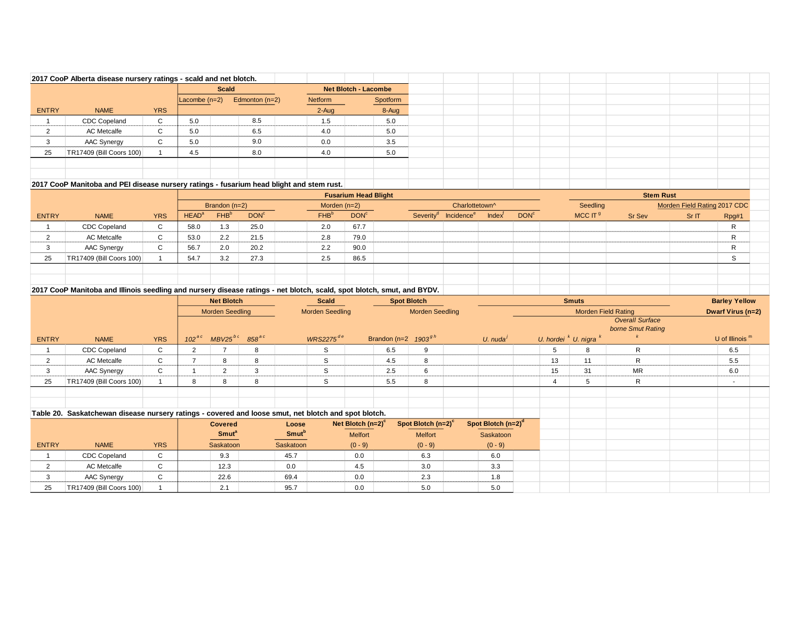|                | 2017 CooP Alberta disease nursery ratings - scald and net blotch.                                                      |                |                     |                         |                     |              |                        |                             |                          |                                |                        |                                |                  |    |                            |                                             |                              |                      |  |
|----------------|------------------------------------------------------------------------------------------------------------------------|----------------|---------------------|-------------------------|---------------------|--------------|------------------------|-----------------------------|--------------------------|--------------------------------|------------------------|--------------------------------|------------------|----|----------------------------|---------------------------------------------|------------------------------|----------------------|--|
|                |                                                                                                                        |                |                     | <b>Scald</b>            |                     |              |                        | <b>Net Blotch - Lacombe</b> |                          |                                |                        |                                |                  |    |                            |                                             |                              |                      |  |
|                |                                                                                                                        |                | Lacombe $(n=2)$     |                         | Edmonton $(n=2)$    |              | Netform                |                             | Spotform                 |                                |                        |                                |                  |    |                            |                                             |                              |                      |  |
| ENTRY          | <b>NAME</b>                                                                                                            | <b>YRS</b>     |                     |                         |                     |              | 2-Aug                  |                             | 8-Aug                    |                                |                        |                                |                  |    |                            |                                             |                              |                      |  |
| $\mathbf{1}$   | <b>CDC Copeland</b>                                                                                                    | $\mathsf{C}$   | 5.0                 |                         | 8.5                 |              | 1.5                    |                             | 5.0                      |                                |                        |                                |                  |    |                            |                                             |                              |                      |  |
| $\overline{2}$ | <b>AC Metcalfe</b>                                                                                                     | $\mathsf C$    | 5.0                 |                         | 6.5                 |              | 4.0                    |                             | 5.0                      |                                |                        |                                |                  |    |                            |                                             |                              |                      |  |
| 3              | AAC Synergy                                                                                                            | $\mathsf C$    | 5.0                 |                         | 9.0                 |              | 0.0                    |                             | 3.5                      |                                |                        |                                |                  |    |                            |                                             |                              |                      |  |
| 25             | TR17409 (Bill Coors 100)                                                                                               | $\overline{1}$ | 4.5                 |                         | 8.0                 |              | 4.0                    |                             | 5.0                      |                                |                        |                                |                  |    |                            |                                             |                              |                      |  |
|                |                                                                                                                        |                |                     |                         |                     |              |                        |                             |                          |                                |                        |                                |                  |    |                            |                                             |                              |                      |  |
|                |                                                                                                                        |                |                     |                         |                     |              |                        |                             |                          |                                |                        |                                |                  |    |                            |                                             |                              |                      |  |
|                | 2017 CooP Manitoba and PEI disease nursery ratings - fusarium head blight and stem rust.                               |                |                     |                         |                     |              |                        |                             |                          |                                |                        |                                |                  |    |                            |                                             |                              |                      |  |
|                |                                                                                                                        |                |                     |                         |                     |              |                        | <b>Fusarium Head Blight</b> |                          |                                |                        |                                |                  |    |                            | <b>Stem Rust</b>                            |                              |                      |  |
|                |                                                                                                                        |                |                     | Brandon $(n=2)$         |                     |              | Morden $(n=2)$         |                             |                          |                                | Charlottetown^         |                                |                  |    | Seedling                   |                                             | Morden Field Rating 2017 CDC |                      |  |
| <b>ENTRY</b>   | <b>NAME</b>                                                                                                            | <b>YRS</b>     | HEAD <sup>a</sup>   | FHB <sup>b</sup>        | DOM <sup>c</sup>    |              | FHB <sup>b</sup>       | DON <sup>c</sup>            |                          | Severity <sup>®</sup>          | Incidence <sup>e</sup> | Index <sup>T</sup>             | DOM <sup>c</sup> |    | MCC $\Pi^9$                | <b>Sr Sev</b>                               | Sr IT                        | Rpg#1                |  |
| $\mathbf{1}$   | <b>CDC</b> Copeland                                                                                                    | C              | 58.0                | 1.3                     | 25.0                |              | 2.0                    | 67.7                        |                          |                                |                        |                                |                  |    |                            |                                             |                              | $\mathsf{R}$         |  |
| $\overline{2}$ | <b>AC</b> Metcalfe                                                                                                     | C              | 53.0                | 2.2                     | 21.5                |              | 2.8                    | 79.0                        |                          |                                |                        |                                |                  |    |                            |                                             |                              | $\mathsf{R}$         |  |
| 3              | AAC Synergy                                                                                                            | C              | 56.7                | 2.0                     | 20.2                |              | 2.2                    | 90.0                        |                          |                                |                        |                                |                  |    |                            |                                             |                              | $\mathsf{R}$         |  |
| 25             | TR17409 (Bill Coors 100)                                                                                               | $\overline{1}$ | 54.7                | 3.2                     | 27.3                |              | 2.5                    | 86.5                        |                          |                                |                        |                                |                  |    |                            |                                             |                              | S                    |  |
|                |                                                                                                                        |                |                     |                         |                     |              |                        |                             |                          |                                |                        |                                |                  |    |                            |                                             |                              |                      |  |
|                |                                                                                                                        |                |                     |                         |                     |              |                        |                             |                          |                                |                        |                                |                  |    |                            |                                             |                              |                      |  |
|                | 2017 CooP Manitoba and Illinois seedling and nursery disease ratings - net blotch, scald, spot blotch, smut, and BYDV. |                |                     |                         |                     |              |                        |                             |                          |                                |                        |                                |                  |    |                            |                                             |                              |                      |  |
|                |                                                                                                                        |                |                     |                         |                     |              |                        |                             |                          |                                |                        |                                |                  |    |                            |                                             |                              |                      |  |
|                |                                                                                                                        |                |                     | <b>Net Blotch</b>       |                     |              | <b>Scald</b>           |                             | <b>Spot Blotch</b>       |                                |                        |                                |                  |    | <b>Smuts</b>               |                                             |                              | <b>Barley Yellow</b> |  |
|                |                                                                                                                        |                |                     | <b>Morden Seedling</b>  |                     |              | <b>Morden Seedling</b> |                             |                          | <b>Morden Seedling</b>         |                        |                                |                  |    | <b>Morden Field Rating</b> |                                             |                              | Dwarf Virus (n=2)    |  |
|                |                                                                                                                        |                |                     |                         |                     |              |                        |                             |                          |                                |                        |                                |                  |    |                            | <b>Overall Surface</b><br>borne Smut Rating |                              |                      |  |
| <b>ENTRY</b>   | <b>NAME</b>                                                                                                            | <b>YRS</b>     | $102$ <sup>ac</sup> | $MBV25^{b}$             | $858$ <sup>ac</sup> |              | $WRS2275^{de}$         |                             | Brandon (n=2 $1903^{gh}$ |                                |                        | $U.$ nuda $'$                  |                  |    | U. hordei $k$ U. nigra $k$ |                                             |                              | U of Illinois $m$    |  |
| $\overline{1}$ | <b>CDC</b> Copeland                                                                                                    | $\mathsf C$    | $\overline{2}$      | $\overline{7}$          | 8                   |              | S                      |                             | 6.5                      | 9                              |                        |                                |                  | 5  | 8                          | $\mathsf{R}$                                |                              | 6.5                  |  |
| $\overline{2}$ | <b>AC</b> Metcalfe                                                                                                     | C              | $\overline{7}$      | 8                       | 8                   |              | S                      |                             | 4.5                      | 8                              |                        |                                |                  | 13 | 11                         | R                                           |                              | 5.5                  |  |
| 3              | AAC Synergy                                                                                                            | $\mathsf C$    | $\overline{1}$      | $\overline{2}$          | 3                   |              | S                      |                             | 2.5                      | 6                              |                        |                                |                  | 15 | 31                         | <b>MR</b>                                   |                              | 6.0                  |  |
| 25             | TR17409 (Bill Coors 100)                                                                                               | $\overline{1}$ | 8                   | 8                       | 8                   |              | S                      |                             | 5.5                      | 8                              |                        |                                |                  | 4  | 5                          | $\mathsf{R}$                                |                              | $\sim$               |  |
|                |                                                                                                                        |                |                     |                         |                     |              |                        |                             |                          |                                |                        |                                |                  |    |                            |                                             |                              |                      |  |
|                |                                                                                                                        |                |                     |                         |                     |              |                        |                             |                          |                                |                        |                                |                  |    |                            |                                             |                              |                      |  |
|                | Table 20. Saskatchewan disease nursery ratings - covered and loose smut, net blotch and spot blotch.                   |                |                     |                         |                     |              |                        |                             |                          |                                |                        |                                |                  |    |                            |                                             |                              |                      |  |
|                |                                                                                                                        |                |                     | <b>Covered</b>          |                     | Loose        |                        | Net Blotch $(n=2)^{c}$      |                          | Spot Blotch (n=2) <sup>c</sup> |                        | Spot Blotch (n=2) <sup>d</sup> |                  |    |                            |                                             |                              |                      |  |
|                |                                                                                                                        |                |                     | <b>Smut<sup>a</sup></b> |                     | <b>Smuth</b> |                        | <b>Melfort</b>              |                          | <b>Melfort</b>                 |                        | Saskatoon                      |                  |    |                            |                                             |                              |                      |  |
| <b>ENTRY</b>   | <b>NAME</b>                                                                                                            | <b>YRS</b>     |                     | Saskatoon               |                     | Saskatoon    |                        | $(0 - 9)$                   |                          | $(0 - 9)$                      |                        | $(0 - 9)$                      |                  |    |                            |                                             |                              |                      |  |
| $\mathbf{1}$   | <b>CDC Copeland</b>                                                                                                    | $\mathsf C$    |                     | 9.3                     |                     | 45.7         |                        | 0.0                         |                          | 6.3                            |                        | 6.0                            |                  |    |                            |                                             |                              |                      |  |
| $\overline{2}$ | <b>AC</b> Metcalfe                                                                                                     | $\mathsf C$    |                     | 12.3                    |                     | 0.0          |                        | 4.5                         |                          | 3.0                            |                        | 3.3                            |                  |    |                            |                                             |                              |                      |  |
| 3              | AAC Synergy                                                                                                            | $\mathsf C$    |                     | 22.6<br>2.1             |                     | 69.4         |                        | 0.0                         |                          | 2.3                            |                        | 1.8                            |                  |    |                            |                                             |                              |                      |  |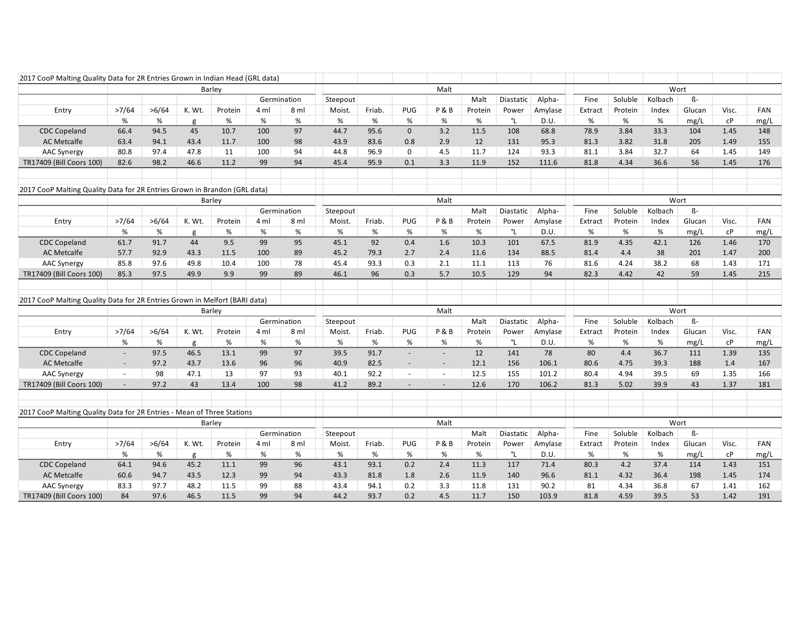| 2017 CooP Malting Quality Data for 2R Entries Grown in Indian Head (GRL data) |                          |       |        |         |      |             |          |        |                          |                |         |           |         |         |         |         |           |       |      |
|-------------------------------------------------------------------------------|--------------------------|-------|--------|---------|------|-------------|----------|--------|--------------------------|----------------|---------|-----------|---------|---------|---------|---------|-----------|-------|------|
|                                                                               |                          |       |        | Barley  |      |             |          |        |                          | Malt           |         |           |         |         |         |         | Wort      |       |      |
|                                                                               |                          |       |        |         |      | Germination | Steepout |        |                          |                | Malt    | Diastatic | Alpha-  | Fine    | Soluble | Kolbach | $\beta$ - |       |      |
| Entry                                                                         | >7/64                    | >6/64 | K. Wt. | Protein | 4 ml | 8 ml        | Moist.   | Friab. | PUG                      | P&B            | Protein | Power     | Amylase | Extract | Protein | Index   | Glucan    | Visc. | FAN  |
|                                                                               | %                        | %     | g      | %       | $\%$ | %           | %        | $\%$   | $\%$                     | %              | %       | °L        | D.U.    | $\%$    | %       | %       | mg/L      | сP    | mg/L |
| <b>CDC Copeland</b>                                                           | 66.4                     | 94.5  | 45     | 10.7    | 100  | 97          | 44.7     | 95.6   | $\mathbf 0$              | 3.2            | 11.5    | 108       | 68.8    | 78.9    | 3.84    | 33.3    | 104       | 1.45  | 148  |
| <b>AC Metcalfe</b>                                                            | 63.4                     | 94.1  | 43.4   | 11.7    | 100  | 98          | 43.9     | 83.6   | 0.8                      | 2.9            | 12      | 131       | 95.3    | 81.3    | 3.82    | 31.8    | 205       | 1.49  | 155  |
| <b>AAC Synergy</b>                                                            | 80.8                     | 97.4  | 47.8   | 11      | 100  | 94          | 44.8     | 96.9   | $\mathbf 0$              | 4.5            | 11.7    | 124       | 93.3    | 81.1    | 3.84    | 32.7    | 64        | 1.45  | 149  |
| TR17409 (Bill Coors 100)                                                      | 82.6                     | 98.2  | 46.6   | 11.2    | 99   | 94          | 45.4     | 95.9   | 0.1                      | 3.3            | 11.9    | 152       | 111.6   | 81.8    | 4.34    | 36.6    | 56        | 1.45  | 176  |
|                                                                               |                          |       |        |         |      |             |          |        |                          |                |         |           |         |         |         |         |           |       |      |
| 2017 CooP Malting Quality Data for 2R Entries Grown in Brandon (GRL data)     |                          |       |        |         |      |             |          |        |                          |                |         |           |         |         |         |         |           |       |      |
|                                                                               |                          |       |        | Barley  |      |             |          |        |                          | Malt           |         |           |         |         |         |         | Wort      |       |      |
|                                                                               |                          |       |        |         |      | Germination | Steepout |        |                          |                | Malt    | Diastatic | Alpha-  | Fine    | Soluble | Kolbach | $\beta$ - |       |      |
| Entry                                                                         | >7/64                    | >6/64 | K. Wt. | Protein | 4 ml | 8 ml        | Moist.   | Friab. | PUG                      | P&B            | Protein | Power     | Amylase | Extract | Protein | Index   | Glucan    | Visc. | FAN  |
|                                                                               | %                        | %     | g      | %       | %    | %           | %        | $\%$   | $\%$                     | %              | %       | °L        | D.U.    | $\%$    | %       | $\%$    | mg/L      | сP    | mg/L |
| <b>CDC Copeland</b>                                                           | 61.7                     | 91.7  | 44     | 9.5     | 99   | 95          | 45.1     | 92     | 0.4                      | 1.6            | 10.3    | 101       | 67.5    | 81.9    | 4.35    | 42.1    | 126       | 1.46  | 170  |
| <b>AC Metcalfe</b>                                                            | 57.7                     | 92.9  | 43.3   | 11.5    | 100  | 89          | 45.2     | 79.3   | 2.7                      | 2.4            | 11.6    | 134       | 88.5    | 81.4    | 4.4     | 38      | 201       | 1.47  | 200  |
| <b>AAC Synergy</b>                                                            | 85.8                     | 97.6  | 49.8   | 10.4    | 100  | 78          | 45.4     | 93.3   | 0.3                      | 2.1            | 11.1    | 113       | 76      | 81.6    | 4.24    | 38.2    | 68        | 1.43  | 171  |
| TR17409 (Bill Coors 100)                                                      | 85.3                     | 97.5  | 49.9   | 9.9     | 99   | 89          | 46.1     | 96     | 0.3                      | 5.7            | 10.5    | 129       | 94      | 82.3    | 4.42    | 42      | 59        | 1.45  | 215  |
|                                                                               |                          |       |        |         |      |             |          |        |                          |                |         |           |         |         |         |         |           |       |      |
| 2017 CooP Malting Quality Data for 2R Entries Grown in Melfort (BARI data)    |                          |       |        |         |      |             |          |        |                          |                |         |           |         |         |         |         |           |       |      |
|                                                                               |                          |       |        | Barley  |      |             |          |        |                          | Malt           |         |           |         |         |         |         | Wort      |       |      |
|                                                                               |                          |       |        |         |      | Germination | Steepout |        |                          |                | Malt    | Diastatic | Alpha-  | Fine    | Soluble | Kolbach | $\beta$ - |       |      |
| Entry                                                                         | >7/64                    | >6/64 | K. Wt. | Protein | 4 ml | 8 ml        | Moist.   | Friab. | PUG                      | <b>P&amp;B</b> | Protein | Power     | Amylase | Extract | Protein | Index   | Glucan    | Visc. | FAN  |
|                                                                               | %                        | %     | g      | %       | %    | %           | %        | %      | %                        | %              | %       | °L        | D.U.    | $\%$    | %       | %       | mg/L      | сP    | mg/L |
| <b>CDC Copeland</b>                                                           | $\overline{\phantom{a}}$ | 97.5  | 46.5   | 13.1    | 99   | 97          | 39.5     | 91.7   | $\overline{\phantom{a}}$ |                | 12      | 141       | 78      | 80      | 4.4     | 36.7    | 111       | 1.39  | 135  |
| <b>AC Metcalfe</b>                                                            | $\overline{\phantom{a}}$ | 97.2  | 43.7   | 13.6    | 96   | 96          | 40.9     | 82.5   | $\frac{1}{2}$            |                | 12.1    | 156       | 106.1   | 80.6    | 4.75    | 39.3    | 188       | 1.4   | 167  |
| <b>AAC Synergy</b>                                                            | $\omega$                 | 98    | 47.1   | 13      | 97   | 93          | 40.1     | 92.2   | $\omega$                 | $\sim$         | 12.5    | 155       | 101.2   | 80.4    | 4.94    | 39.5    | 69        | 1.35  | 166  |
| TR17409 (Bill Coors 100)                                                      | $\overline{\phantom{a}}$ | 97.2  | 43     | 13.4    | 100  | 98          | 41.2     | 89.2   | $\overline{\phantom{a}}$ |                | 12.6    | 170       | 106.2   | 81.3    | 5.02    | 39.9    | 43        | 1.37  | 181  |
|                                                                               |                          |       |        |         |      |             |          |        |                          |                |         |           |         |         |         |         |           |       |      |
|                                                                               |                          |       |        |         |      |             |          |        |                          |                |         |           |         |         |         |         |           |       |      |
| 2017 CooP Malting Quality Data for 2R Entries - Mean of Three Stations        |                          |       |        |         |      |             |          |        |                          |                |         |           |         |         |         |         |           |       |      |
|                                                                               |                          |       | Barley |         |      |             |          | Malt   |                          |                |         |           |         |         | Wort    |         |           |       |      |
|                                                                               |                          |       |        |         |      | Germination | Steepout |        |                          |                | Malt    | Diastatic | Alpha-  | Fine    | Soluble | Kolbach | ß-        |       |      |
| Entry                                                                         | >7/64                    | >6/64 | K. Wt. | Protein | 4 ml | 8 ml        | Moist.   | Friab. | PUG                      | P&B            | Protein | Power     | Amylase | Extract | Protein | Index   | Glucan    | Visc. | FAN  |
|                                                                               | %                        | %     | g      | %       | %    | %           | %        | $\%$   | %                        | %              | %       | °L        | D.U.    | %       | %       | %       | mg/L      | cP    | mg/L |
| <b>CDC Copeland</b>                                                           | 64.1                     | 94.6  | 45.2   | 11.1    | 99   | 96          | 43.1     | 93.1   | 0.2                      | 2.4            | 11.3    | 117       | 71.4    | 80.3    | 4.2     | 37.4    | 114       | 1.43  | 151  |
| <b>AC Metcalfe</b>                                                            | 60.6                     | 94.7  | 43.5   | 12.3    | 99   | 94          | 43.3     | 81.8   | 1.8                      | 2.6            | 11.9    | 140       | 96.6    | 81.1    | 4.32    | 36.4    | 198       | 1.45  | 174  |
| <b>AAC Synergy</b>                                                            | 83.3                     | 97.7  | 48.2   | 11.5    | 99   | 88          | 43.4     | 94.1   | 0.2                      | 3.3            | 11.8    | 131       | 90.2    | 81      | 4.34    | 36.8    | 67        | 1.41  | 162  |
| TR17409 (Bill Coors 100)                                                      | 84                       | 97.6  | 46.5   | 11.5    | 99   | 94          | 44.2     | 93.7   | 0.2                      | 4.5            | 11.7    | 150       | 103.9   | 81.8    | 4.59    | 39.5    | 53        | 1.42  | 191  |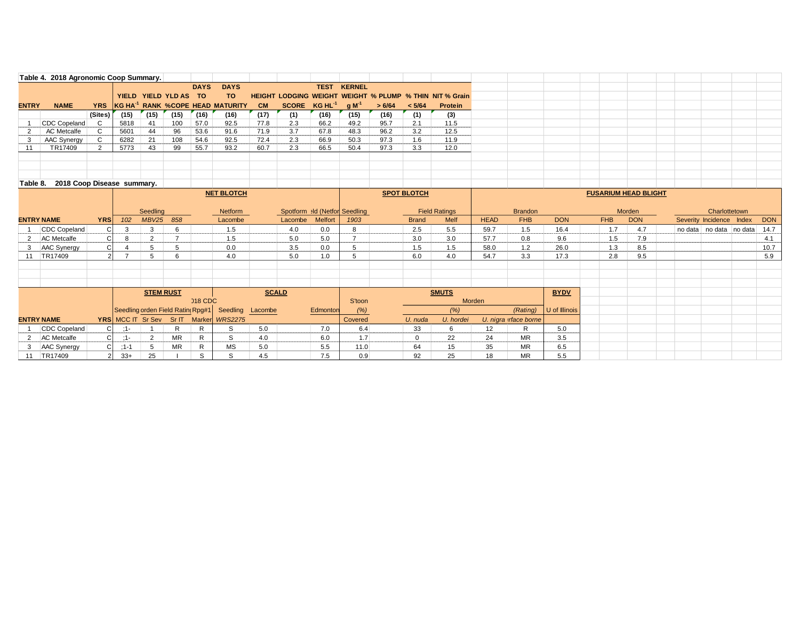|                   | Table 4. 2018 Agronomic Coop Summary. |                   |          |                  |                                  |              |                                              |              |                               |                |               |        |                    |                                                                |             |                       |               |            |                             |  |                          |            |
|-------------------|---------------------------------------|-------------------|----------|------------------|----------------------------------|--------------|----------------------------------------------|--------------|-------------------------------|----------------|---------------|--------|--------------------|----------------------------------------------------------------|-------------|-----------------------|---------------|------------|-----------------------------|--|--------------------------|------------|
|                   |                                       |                   |          |                  |                                  | <b>DAYS</b>  | <b>DAYS</b>                                  |              |                               | <b>TEST</b>    | <b>KERNEL</b> |        |                    |                                                                |             |                       |               |            |                             |  |                          |            |
|                   |                                       |                   |          |                  | YIELD YIELD YLD AS TO            |              | TO.                                          |              |                               |                |               |        |                    | <b>HEIGHT LODGING WEIGHT WEIGHT % PLUMP % THIN NIT % Grain</b> |             |                       |               |            |                             |  |                          |            |
| <b>ENTRY</b>      | <b>NAME</b>                           | <b>YRS</b>        |          |                  |                                  |              | KG HA <sup>-1</sup> RANK %COPE HEAD MATURITY | <b>CM</b>    | SCORE KG HL <sup>-1</sup>     |                | $q M-1$       | > 6/64 | < 5/64             | Protein                                                        |             |                       |               |            |                             |  |                          |            |
|                   |                                       | (Sites)           | (15)     | (15)             | (15)                             | (16)         | (16)                                         | (17)         | (1)                           | (16)           | (15)          | (16)   | (1)                | (3)                                                            |             |                       |               |            |                             |  |                          |            |
|                   | CDC Copeland                          | C                 | 5818     | 41               | 100                              | 57.0         | 92.5                                         | 77.8         | 2.3                           | 66.2           | 49.2          | 95.7   | 2.1                | 11.5                                                           |             |                       |               |            |                             |  |                          |            |
| 2                 | <b>AC</b> Metcalfe                    | C.                | 5601     | 44               | 96                               | 53.6         | 91.6                                         | 71.9         | 3.7                           | 67.8           | 48.3          | 96.2   | 3.2                | 12.5                                                           |             |                       |               |            |                             |  |                          |            |
| 3                 | AAC Synergy                           | $\mathbf{C}$      | 6282     | 21               | 108                              | 54.6         | 92.5                                         | 72.4         | 2.3                           | 66.9           | 50.3          | 97.3   | 1.6                | 11.9                                                           |             |                       |               |            |                             |  |                          |            |
| 11                | TR17409                               | 2                 | 5773     | 43               | 99                               | 55.7         | 93.2                                         | 60.7         | 2.3                           | 66.5           | 50.4          | 97.3   | 3.3                | 12.0                                                           |             |                       |               |            |                             |  |                          |            |
|                   |                                       |                   |          |                  |                                  |              |                                              |              |                               |                |               |        |                    |                                                                |             |                       |               |            |                             |  |                          |            |
|                   |                                       |                   |          |                  |                                  |              |                                              |              |                               |                |               |        |                    |                                                                |             |                       |               |            |                             |  |                          |            |
|                   |                                       |                   |          |                  |                                  |              |                                              |              |                               |                |               |        |                    |                                                                |             |                       |               |            |                             |  |                          |            |
|                   | Table 8. 2018 Coop Disease summary.   |                   |          |                  |                                  |              |                                              |              |                               |                |               |        |                    |                                                                |             |                       |               |            |                             |  |                          |            |
|                   |                                       | <b>NET BLOTCH</b> |          |                  |                                  |              |                                              |              |                               |                |               |        | <b>SPOT BLOTCH</b> |                                                                |             |                       |               |            | <b>FUSARIUM HEAD BLIGHT</b> |  |                          |            |
|                   |                                       |                   |          |                  |                                  |              |                                              |              |                               |                |               |        |                    |                                                                |             |                       |               |            |                             |  |                          |            |
|                   |                                       |                   |          | Seedling         |                                  |              | Netform                                      |              | Spotform ald (Netfor Seedling |                |               |        |                    | <b>Field Ratings</b>                                           |             | <b>Brandon</b>        |               |            | Morden                      |  | Charlottetown            |            |
|                   |                                       |                   |          |                  |                                  |              |                                              |              |                               |                |               |        |                    |                                                                |             |                       |               | <b>FHB</b> |                             |  |                          |            |
| <b>ENTRY NAME</b> |                                       | <b>YRS</b>        | 102      | <b>MBV25</b>     | 858                              |              | Lacombe                                      |              | Lacombe                       | <b>Melfort</b> | 1903          |        | <b>Brand</b>       | <b>Melf</b>                                                    | <b>HEAD</b> | <b>FHB</b>            | <b>DON</b>    |            | <b>DON</b>                  |  | Severity Incidence Index | <b>DON</b> |
|                   | CDC Copeland                          | <sub>C</sub>      | 3        | 3                | 6                                |              | 1.5                                          |              | 4.0                           | 0.0            | 8             |        | 2.5                | 5.5                                                            | 59.7        | 1.5                   | 16.4          | 1.7        | 4.7                         |  | no data no data no data  | 14.7       |
|                   | 2 AC Metcalfe                         |                   | 8        | 2                | $\overline{7}$                   |              | 1.5                                          |              | 5.0                           | 5.0            |               |        | 3.0                | 3.0                                                            | 57.7        | 0.8                   | 9.6           | 1.5        | 7.9                         |  |                          | 4.1        |
|                   | 3 AAC Synergy                         | Сl                |          | 5                | 5                                |              | 0.0                                          |              | 3.5                           | 0.0            | 5             |        | 1.5                | 1.5                                                            | 58.0        | 1.2                   | 26.0          | 1.3        | 8.5                         |  |                          | 10.7       |
|                   | 11 TR17409                            | $\overline{2}$    |          | 5                | 6                                |              | 4.0                                          |              | 5.0                           | 1.0            | 5             |        | 6.0                | 4.0                                                            | 54.7        | 3.3                   | 17.3          | 2.8        | 9.5                         |  |                          | 5.9        |
|                   |                                       |                   |          |                  |                                  |              |                                              |              |                               |                |               |        |                    |                                                                |             |                       |               |            |                             |  |                          |            |
|                   |                                       |                   |          |                  |                                  |              |                                              |              |                               |                |               |        |                    |                                                                |             |                       |               |            |                             |  |                          |            |
|                   |                                       |                   |          |                  |                                  |              |                                              |              |                               |                |               |        |                    |                                                                |             |                       |               |            |                             |  |                          |            |
|                   |                                       |                   |          | <b>STEM RUST</b> |                                  |              |                                              | <b>SCALD</b> |                               |                |               |        |                    | <b>SMUTS</b>                                                   |             |                       | <b>BYDV</b>   |            |                             |  |                          |            |
|                   |                                       |                   |          |                  |                                  | 018 CDC      |                                              |              |                               |                | S'toon        |        |                    | Morden                                                         |             |                       |               |            |                             |  |                          |            |
|                   |                                       |                   |          |                  | Seedling orden Field Ratin(Rpg#1 |              | Seedling                                     | Lacombe      |                               | Edmonton       | (% )          |        |                    | (% )                                                           |             | (Rating)              | U of Illinois |            |                             |  |                          |            |
| <b>ENTRY NAME</b> |                                       |                   |          |                  | YRS MCC IT Sr Sev Sr IT Marker   |              | <b>WRS2275</b>                               |              |                               |                | Covered       |        | U. nuda            | U. hordei                                                      |             | U. nigra irface borne |               |            |                             |  |                          |            |
|                   | CDC Copeland                          | CI                | $:1-$    |                  | R                                | $\mathsf{R}$ | S                                            | 5.0          |                               | 7.0            | 6.4           |        | 33                 | 6                                                              | 12          | $\mathsf{R}$          | 5.0           |            |                             |  |                          |            |
|                   | 2 AC Metcalfe                         | CI                | $:1-$    | 2                | <b>MR</b>                        | R            | S                                            | 4.0          |                               | 6.0            | 1.7           |        | 0                  | 22                                                             | 24          | <b>MR</b>             | 3.5           |            |                             |  |                          |            |
|                   | 3 AAC Synergy                         | C.                | $:1 - 1$ | 5                | <b>MR</b>                        | $\mathsf{R}$ | MS                                           | 5.0          |                               | 5.5            | 11.0          |        | 64                 | 15                                                             | 35          | <b>MR</b>             | 6.5           |            |                             |  |                          |            |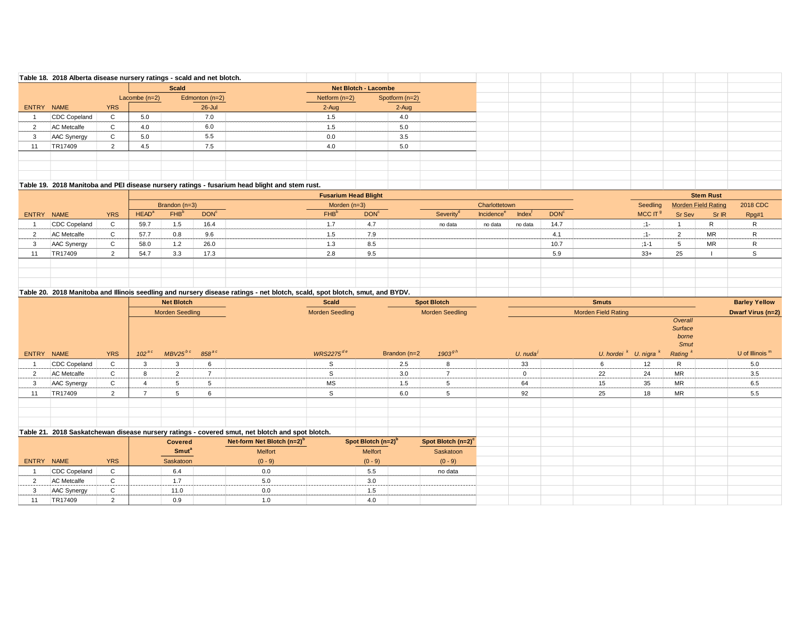|            |                    |              |                 | Table 18. 2018 Alberta disease nursery ratings - scald and net blotch. |                                                                                             |                      |                |  |  |  |  |
|------------|--------------------|--------------|-----------------|------------------------------------------------------------------------|---------------------------------------------------------------------------------------------|----------------------|----------------|--|--|--|--|
|            |                    |              |                 | <b>Scald</b>                                                           |                                                                                             | Net Blotch - Lacombe |                |  |  |  |  |
|            |                    |              | Lacombe $(n=2)$ | Edmonton $(n=2)$                                                       |                                                                                             | Netform $(n=2)$      | Spotform (n=2) |  |  |  |  |
| ENTRY NAME |                    | <b>YRS</b>   |                 | $26$ -Jul                                                              |                                                                                             | $2-Auq$              | $2 - Aug$      |  |  |  |  |
|            | CDC Copeland       | $\sim$<br>ı. | 5.0             | 7.0                                                                    |                                                                                             | 1.5                  | 4.0            |  |  |  |  |
|            | <b>AC Metcalfe</b> | $\sim$<br>G. | 4.0             | 6.0                                                                    |                                                                                             | 1.5                  | 5.0            |  |  |  |  |
|            | AAC Synergy        | $\sim$       | 5.0             | 5.5                                                                    |                                                                                             | 0.0                  | 3.5            |  |  |  |  |
|            | TR17409            |              | 4.5             | 7.5                                                                    |                                                                                             | 4.0                  | 5.0            |  |  |  |  |
|            |                    |              |                 |                                                                        |                                                                                             |                      |                |  |  |  |  |
|            |                    |              |                 |                                                                        |                                                                                             |                      |                |  |  |  |  |
|            |                    |              |                 |                                                                        |                                                                                             |                      |                |  |  |  |  |
|            |                    |              |                 |                                                                        | Table 19 2018 Manitoba and PFI disease nursery rations - fusarium bead blight and stem rust |                      |                |  |  |  |  |

#### **Table 19. 2018 Manitoba and PEI disease nursery ratings - fusarium head blight and stem rust.**

|            |                     |             |                   |                  |                  | <b>Fusarium Head Blight</b> |                  |                       |                               |              |                  |            |        | <b>Stem Rust</b>           |          |
|------------|---------------------|-------------|-------------------|------------------|------------------|-----------------------------|------------------|-----------------------|-------------------------------|--------------|------------------|------------|--------|----------------------------|----------|
|            |                     |             |                   | Brandon $(n=3)$  |                  | Morden $(n=3)$              |                  |                       | Charlottetown                 |              |                  | Seedling   |        | <b>Morden Field Rating</b> | 2018 CDC |
| ENTRY NAME |                     | <b>YRS</b>  | HEAD <sup>a</sup> | FHB <sup>b</sup> | DOM <sup>c</sup> | FHB <sup>b</sup>            | DOM <sup>c</sup> | Severity <sup>d</sup> | <b>Incidence</b> <sup>e</sup> | <b>Index</b> | DOM <sup>c</sup> | MCC IT $9$ | Sr Sev | Sr IR                      | Rpg#1    |
|            | <b>CDC Copeland</b> | $\sim$      | 59.7              |                  | 16.4             |                             | 4.7              | no data               | no data                       | no data      | 14.7             | 1 –        |        | R                          |          |
|            | <b>AC</b> Metcalfe  | $\sim$      | 57.7              | 0.8              | 9.6              | 1.5                         | 7.9              |                       |                               |              | 4.1              | ٠.         |        | MR                         | R        |
|            | AAC Synergy         | $\sim$<br>◡ | 58.0              | 1.2              | 26.0             |                             | 8.5              |                       |                               |              | 10.7             | $:1 - 1$   |        | MR                         | R        |
|            | TR17409             |             | 54.7              | 3.3              | 17.3             | 2.8                         | 9.5              |                       |                               |              | 5.9              | $33+$      | 25     |                            |          |
|            |                     |             |                   |                  |                  |                             |                  |                       |                               |              |                  |            |        |                            |          |
|            |                     |             |                   |                  |                  |                             |                  |                       |                               |              |                  |            |        |                            |          |
|            |                     |             |                   |                  |                  |                             |                  |                       |                               |              |                  |            |        |                            |          |

#### **Table 20. 2018 Manitoba and Illinois seedling and nursery disease ratings - net blotch, scald, spot blotch, smut, and BYDV.**

|                |                     | <b>Net Blotch</b> |            |                         |            |                                                                                                 | <b>Scald</b>    |                                |                 | <b>Spot Blotch</b>     |                        | <b>Smuts</b>               |                            |                                            | <b>Barley Yellow</b> |
|----------------|---------------------|-------------------|------------|-------------------------|------------|-------------------------------------------------------------------------------------------------|-----------------|--------------------------------|-----------------|------------------------|------------------------|----------------------------|----------------------------|--------------------------------------------|----------------------|
|                |                     |                   |            | <b>Morden Seedling</b>  |            |                                                                                                 | Morden Seedling |                                |                 | <b>Morden Seedling</b> |                        | <b>Morden Field Rating</b> |                            |                                            | Dwarf Virus (n=2)    |
|                |                     |                   |            |                         |            |                                                                                                 |                 |                                |                 |                        |                        |                            |                            | Overall<br>Surface<br>borne<br><b>Smut</b> |                      |
|                | ENTRY NAME          | <b>YRS</b>        | $102^{ac}$ | $MBV25^{bc}$            | $858^{ac}$ |                                                                                                 | $WRS2275^{de}$  |                                | Brandon $(n=2)$ | $1903^{gh}$            | U. nuda $\overline{'}$ |                            | U. hordei $K$ U. nigra $K$ | Rating <sup>k</sup>                        | U of Illinois $m$    |
|                | CDC Copeland        | C                 | 3          |                         | 6          |                                                                                                 | <sub>S</sub>    |                                | 2.5             | 8                      | 33                     | 6                          | 12                         | R                                          | 5.0                  |
|                | AC Metcalfe         | C                 | 8          | $\overline{2}$          | 7          |                                                                                                 | <sub>S</sub>    |                                | 3.0             | $\overline{ }$         | $\mathbf 0$            | 22                         | 24                         | <b>MR</b>                                  | 3.5                  |
| 3              | AAC Synergy         | $\mathsf{C}$      |            |                         | 5          |                                                                                                 | MS              |                                | 1.5             | 5                      | 64                     | 15                         | 35                         | <b>MR</b>                                  | 6.5                  |
| 11             | TR17409             | $\overline{2}$    |            | $\mathbf{b}$            | 6          |                                                                                                 | S               |                                | 6.0             | 5                      | 92                     | 25                         | 18                         | MR                                         | 5.5                  |
|                |                     |                   |            |                         |            |                                                                                                 |                 |                                |                 |                        |                        |                            |                            |                                            |                      |
|                |                     |                   |            |                         |            |                                                                                                 |                 |                                |                 |                        |                        |                            |                            |                                            |                      |
|                |                     |                   |            |                         |            |                                                                                                 |                 |                                |                 |                        |                        |                            |                            |                                            |                      |
|                |                     |                   |            |                         |            | Table 21. 2018 Saskatchewan disease nursery ratings - covered smut, net blotch and spot blotch. |                 |                                |                 |                        |                        |                            |                            |                                            |                      |
|                |                     |                   |            | Covered                 |            | Net-form Net Blotch $(n=2)^b$                                                                   |                 | Spot Blotch (n=2) <sup>b</sup> |                 | Spot Blotch $(n=2)^c$  |                        |                            |                            |                                            |                      |
|                |                     |                   |            | <b>Smut<sup>a</sup></b> |            | Melfort                                                                                         |                 | Melfort                        |                 | Saskatoon              |                        |                            |                            |                                            |                      |
|                | ENTRY NAME          | <b>YRS</b>        |            | Saskatoon               |            | $(0 - 9)$                                                                                       |                 | $(0 - 9)$                      |                 | $(0 - 9)$              |                        |                            |                            |                                            |                      |
|                | <b>CDC Copeland</b> | $\mathsf{C}$      |            | 6.4                     |            | 0.0                                                                                             |                 | 5.5                            |                 | no data                |                        |                            |                            |                                            |                      |
| $\overline{2}$ | AC Metcalfe         | $\mathbf{C}$      |            | 1.7                     |            | 5.0                                                                                             |                 | 3.0                            |                 |                        |                        |                            |                            |                                            |                      |
|                | <b>AAC Synergy</b>  | C                 |            | 11.0                    |            | 0.0                                                                                             |                 | 1.5                            |                 |                        |                        |                            |                            |                                            |                      |
| 11             | TR17409             | 2                 |            | 0.9                     |            | 1.0                                                                                             |                 | 4.0                            |                 |                        |                        |                            |                            |                                            |                      |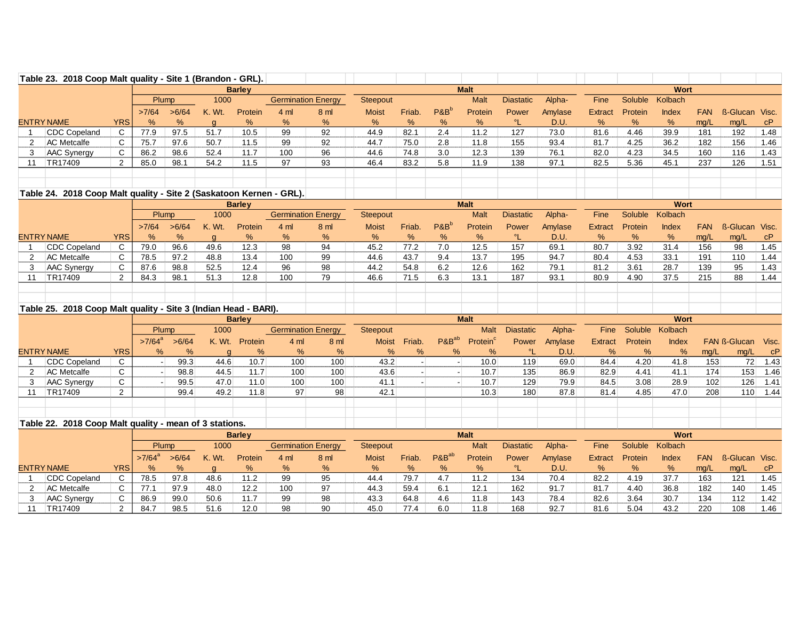|                | Table 23. 2018 Coop Malt quality - Site 1 (Brandon - GRL).          |                |                      |       |              |                |                           |                |                 |                        |                   |                      |                  |         |                |         |              |                  |                     |       |
|----------------|---------------------------------------------------------------------|----------------|----------------------|-------|--------------|----------------|---------------------------|----------------|-----------------|------------------------|-------------------|----------------------|------------------|---------|----------------|---------|--------------|------------------|---------------------|-------|
|                |                                                                     |                |                      |       |              | Barley         |                           |                |                 |                        |                   | <b>Malt</b>          |                  |         |                |         | Wort         |                  |                     |       |
|                |                                                                     |                | Plump                |       | 1000         |                | <b>Germination Energy</b> |                | Steepout        |                        |                   | <b>Malt</b>          | <b>Diastatic</b> | Alpha-  | Fine           | Soluble | Kolbach      |                  |                     |       |
|                |                                                                     |                | >7/64                | >6/64 | K. Wt.       | <b>Protein</b> | 4 <sub>m</sub>            | 8 <sub>m</sub> | <b>Moist</b>    | Friab.                 | $P\&B^b$          | Protein              | Power            | Amylase | <b>Extract</b> | Protein | Index        | <b>FAN</b>       | ß-Glucan            | Visc. |
|                | <b>ENTRY NAME</b>                                                   | <b>YRS</b>     | %                    | %     | $\mathbf{q}$ | $\%$           | %                         | %              | %               | %                      | %                 | %                    | $\Omega$         | D.U.    | %              | %       | %            | mg/L             | mg/L                | cP    |
|                | CDC Copeland                                                        | C              | 77.9                 | 97.5  | 51.7         | 10.5           | 99                        | 92             | 44.9            | 82.1                   | 2.4               | 11.2                 | 127              | 73.0    | 81.6           | 4.46    | 39.9         | 181              | 192                 | 1.48  |
| 2              | <b>AC</b> Metcalfe                                                  | C              | 75.7                 | 97.6  | 50.7         | 11.5           | 99                        | 92             | 44.7            | 75.0                   | 2.8               | 11.8                 | 155              | 93.4    | 81.7           | 4.25    | 36.2         | 182              | 156                 | 1.46  |
| 3              | AAC Synergy                                                         | C              | 86.2                 | 98.6  | 52.4         | 11.7           | 100                       | 96             | 44.6            | 74.8                   | 3.0               | 12.3                 | 139              | 76.1    | 82.0           | 4.23    | 34.5         | 160              | 116                 | 1.43  |
| 11             | TR17409                                                             | $\overline{2}$ | 85.0                 | 98.1  | 54.2         | 11.5           | 97                        | 93             | 46.4            | 83.2                   | 5.8               | 11.9                 | 138              | 97.1    | 82.5           | 5.36    | 45.1         | 237              | 126                 | 1.51  |
|                |                                                                     |                |                      |       |              |                |                           |                |                 |                        |                   |                      |                  |         |                |         |              |                  |                     |       |
|                |                                                                     |                |                      |       |              |                |                           |                |                 |                        |                   |                      |                  |         |                |         |              |                  |                     |       |
|                | Table 24. 2018 Coop Malt quality - Site 2 (Saskatoon Kernen - GRL). |                |                      |       |              |                |                           |                |                 |                        |                   |                      |                  |         |                |         | Wort         |                  |                     |       |
|                |                                                                     |                |                      |       |              | <b>Barley</b>  |                           |                |                 |                        |                   | <b>Malt</b>          |                  |         |                |         |              |                  |                     |       |
|                |                                                                     |                | Plump                |       | 1000         |                | <b>Germination Energy</b> |                | <b>Steepout</b> |                        |                   | <b>Malt</b>          | <b>Diastatic</b> | Alpha-  | Fine           | Soluble | Kolbach      |                  |                     |       |
|                |                                                                     |                | >7/64                | >6/64 | K. Wt.       | Protein        | 4 <sub>m</sub>            | 8 ml           | <b>Moist</b>    | Friab.                 | $P&B^b$           | Protein              | Power            | Amylase | <b>Extract</b> | Protein | <b>Index</b> | <b>FAN</b>       | <b>ß-Glucan</b>     | Visc. |
|                | <b>ENTRY NAME</b>                                                   | <b>YRS</b>     | %                    | $\%$  | $\alpha$     | %              | %                         | %              | %               | %                      | $\%$              | %                    | ℃                | D.U.    | %              | $\%$    | %            | mg/L             | mg/L                | cP    |
| -1             | CDC Copeland                                                        | C              | 79.0                 | 96.6  | 49.6         | 12.3           | $\overline{98}$           | 94             | 45.2            | 77.2                   | 7.0               | 12.5                 | 157              | 69.1    | 80.7           | 3.92    | 31.4         | 156              | 98                  | 1.45  |
| 2              | <b>AC</b> Metcalfe                                                  | C              | 78.5                 | 97.2  | 48.8         | 13.4           | 100                       | 99             | 44.6            | 43.7                   | 9.4               | 13.7                 | 195              | 94.7    | 80.4           | 4.53    | 33.1         | 191              | 110                 | 1.44  |
| 3              | <b>AAC Synergy</b>                                                  | C              | 87.6                 | 98.8  | 52.5         | 12.4           | 96                        | 98             | 44.2            | 54.8                   | 6.2               | 12.6                 | 162              | 79.1    | 81.2           | 3.61    | 28.7         | 139              | 95                  | 1.43  |
| 11             | TR17409                                                             | $\overline{2}$ | 84.3                 | 98.1  | 51.3         | 12.8           | 100                       | 79             | 46.6            | 71.5                   | 6.3               | 13.1                 | 187              | 93.1    | 80.9           | 4.90    | 37.5         | 215              | 88                  | 1.44  |
|                |                                                                     |                |                      |       |              |                |                           |                |                 |                        |                   |                      |                  |         |                |         |              |                  |                     |       |
|                |                                                                     |                |                      |       |              |                |                           |                |                 |                        |                   |                      |                  |         |                |         |              |                  |                     |       |
|                | Table 25. 2018 Coop Malt quality - Site 3 (Indian Head - BARI).     |                |                      |       |              |                |                           |                |                 |                        |                   |                      |                  |         |                |         |              |                  |                     |       |
|                |                                                                     |                |                      |       |              | <b>Barley</b>  |                           |                |                 |                        |                   | <b>Malt</b>          |                  |         |                |         | Wort         |                  |                     |       |
|                |                                                                     |                | Plump                |       | 1000         |                | <b>Germination Energy</b> |                | <b>Steepout</b> |                        |                   | <b>Malt</b>          | <b>Diastatic</b> | Alpha-  | Fine           | Soluble | Kolbach      |                  |                     |       |
|                |                                                                     |                | $>7/64$ <sup>a</sup> | >6/64 | K. Wt.       | Protein        | 4 <sub>m</sub>            | 8 <sub>m</sub> | <b>Moist</b>    | Friab.                 | P&B <sup>ab</sup> | Protein <sup>c</sup> | Power            | Amylase | <b>Extract</b> | Protein | <b>Index</b> |                  | <b>FAN ß-Glucan</b> | Visc. |
|                | <b>ENTRY NAME</b>                                                   | <b>YRS</b>     | %                    | %     | $\alpha$     | %              | %                         | %              | %               | %                      | %                 | %                    | ℃                | D.U.    | %              | %       | %            | mg/L             | mg/L                | cP    |
| $\overline{1}$ | <b>CDC Copeland</b>                                                 | C              |                      | 99.3  | 44.6         | 10.7           | 100                       | 100            | 43.2            | $\left  \cdot \right $ | $\overline{a}$    | 10.0                 | 119              | 69.0    | 84.4           | 4.20    | 41.8         | $\overline{153}$ | 72                  | 1.43  |
| 2              | <b>AC</b> Metcalfe                                                  | C              |                      | 98.8  | 44.5         | 11.7           | 100                       | 100            | 43.6            |                        |                   | 10.7                 | 135              | 86.9    | 82.9           | 4.41    | 41.1         | 174              | 153                 | 1.46  |
| 3              | <b>AAC Synergy</b>                                                  | C              |                      | 99.5  | 47.0         | 11.0           | 100                       | 100            | 41.1            |                        |                   | 10.7                 | 129              | 79.9    | 84.5           | 3.08    | 28.9         | 102              | 126                 | 1.41  |
| 11             | TR17409                                                             | $\overline{2}$ |                      | 99.4  | 49.2         | 11.8           | 97                        | 98             | 42.1            |                        |                   | 10.3                 | 180              | 87.8    | 81.4           | 4.85    | 47.0         | 208              | 110                 | 1.44  |
|                |                                                                     |                |                      |       |              |                |                           |                |                 |                        |                   |                      |                  |         |                |         |              |                  |                     |       |
|                |                                                                     |                |                      |       |              |                |                           |                |                 |                        |                   |                      |                  |         |                |         |              |                  |                     |       |
|                | Table 22. 2018 Coop Malt quality - mean of 3 stations.              |                |                      |       |              |                |                           |                |                 |                        |                   |                      |                  |         |                |         |              |                  |                     |       |
|                |                                                                     |                |                      |       |              | <b>Barley</b>  |                           |                |                 |                        |                   | <b>Malt</b>          |                  |         |                |         | <b>Wort</b>  |                  |                     |       |
|                |                                                                     |                | Plump                |       | 1000         |                | <b>Germination Energy</b> |                | Steepout        |                        |                   | <b>Malt</b>          | <b>Diastatic</b> | Alpha-  | Fine           | Soluble | Kolbach      |                  |                     |       |
|                |                                                                     |                | $>7/64$ <sup>a</sup> | >6/64 | K. Wt.       | Protein        | 4 <sub>m</sub>            | 8 ml           | <b>Moist</b>    | Friab.                 | $P\&B^{ab}$       | Protein              | Power            | Amylase | <b>Extract</b> | Protein | <b>Index</b> | <b>FAN</b>       | <b>ß-Glucan</b>     | Visc. |
|                | <b>ENTRY NAME</b>                                                   | <b>YRS</b>     | $\%$                 | %     | a            | %              | %                         | %              | %               | %                      | %                 | %                    | $^{\circ}$ L     | D.U.    | %              | %       | %            | mg/L             | mg/L                | cP    |
|                | <b>CDC Copeland</b>                                                 | C              | 78.5                 | 97.8  | 48.6         | 11.2           | 99                        | 95             | 44.4            | 79.7                   | 4.7               | 11.2                 | 134              | 70.4    | 82.2           | 4.19    | 37.7         | 163              | 121                 | 1.45  |
| $\overline{2}$ | <b>AC</b> Metcalfe                                                  | C              | 77.1                 | 97.9  | 48.0         | 12.2           | 100                       | 97             | 44.3            | 59.4                   | 6.1               | 12.1                 | 162              | 91.7    | 81.7           | 4.40    | 36.8         | 182              | 140                 | 1.45  |
| 3              | <b>AAC Synergy</b>                                                  | C              | 86.9                 | 99.0  | 50.6         | 11.7           | 99                        | 98             | 43.3            | 64.8                   | 4.6               | 11.8                 | 143              | 78.4    | 82.6           | 3.64    | 30.7         | 134              | 112                 | 1.42  |
| 11             | TR17409                                                             | $\overline{2}$ | 84.7                 | 98.5  | 51.6         | 12.0           | 98                        | 90             | 45.0            | 77.4                   | 6.0               | 11.8                 | 168              | 92.7    | 81.6           | 5.04    | 43.2         | 220              | 108                 | 1.46  |